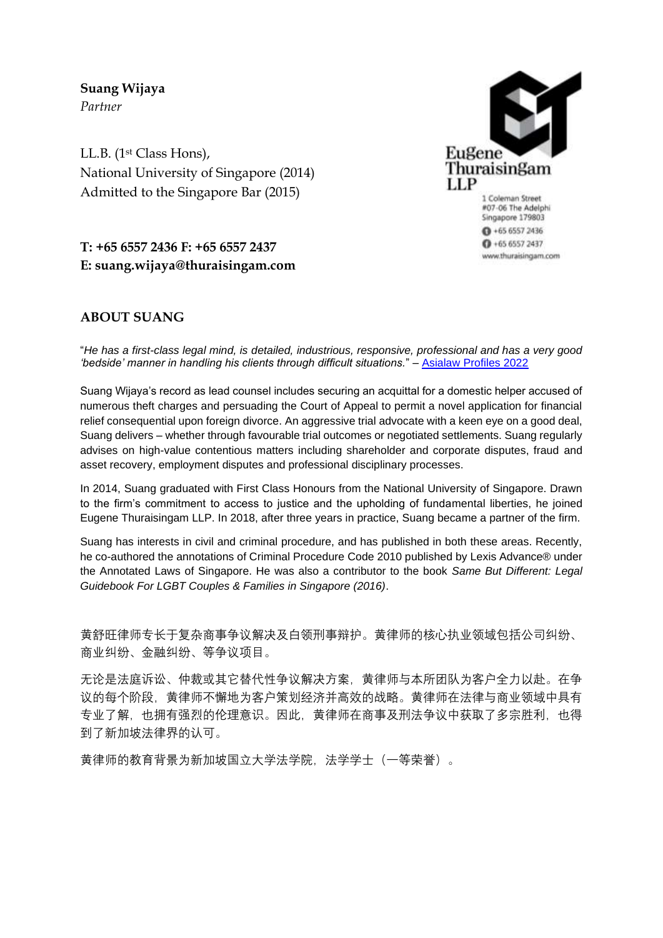**Suang Wijaya**  *Partner* 

LL.B. (1st Class Hons), National University of Singapore (2014) Admitted to the Singapore Bar (2015)



1 Coleman Street #07-06 The Adelphi Singapore 179803  $0 + 6565572436$  $0 + 6565572437$ www.thuraisingam.com

# **T: +65 6557 2436 F: +65 6557 2437 E: suang.wijaya@thuraisingam.com**

## **ABOUT SUANG**

"*He has a first-class legal mind, is detailed, industrious, responsive, professional and has a very good 'bedside' manner in handling his clients through difficult situations.*" – [Asialaw Profiles 2022](https://www.asialaw.com/Firm/eugene-thuraisingam-singapore/Review/1499#rankings)

Suang Wijaya's record as lead counsel includes securing an acquittal for a domestic helper accused of numerous theft charges and persuading the Court of Appeal to permit a novel application for financial relief consequential upon foreign divorce. An aggressive trial advocate with a keen eye on a good deal, Suang delivers – whether through favourable trial outcomes or negotiated settlements. Suang regularly advises on high-value contentious matters including shareholder and corporate disputes, fraud and asset recovery, employment disputes and professional disciplinary processes.

In 2014, Suang graduated with First Class Honours from the National University of Singapore. Drawn to the firm's commitment to access to justice and the upholding of fundamental liberties, he joined Eugene Thuraisingam LLP. In 2018, after three years in practice, Suang became a partner of the firm.

Suang has interests in civil and criminal procedure, and has published in both these areas. Recently, he co-authored the annotations of Criminal Procedure Code 2010 published by Lexis Advance® under the Annotated Laws of Singapore. He was also a contributor to the book *Same But Different: Legal Guidebook For LGBT Couples & Families in Singapore (2016)*.

黄舒旺律师专长于复杂商事争议解决及白领刑事辩护。黄律师的核心执业领域包括公司纠纷、 商业纠纷、金融纠纷、等争议项目。

无论是法庭诉讼、仲裁或其它替代性争议解决方案,黄律师与本所团队为客户全力以赴。在争 议的每个阶段,黄律师不懈地为客户策划经济并高效的战略。黄律师在法律与商业领域中具有 专业了解,也拥有强烈的伦理意识。因此,黄律师在商事及刑法争议中获取了多宗胜利,也得 到了新加坡法律界的认可。

黄律师的教育背景为新加坡国立大学法学院,法学学士(一等荣誉)。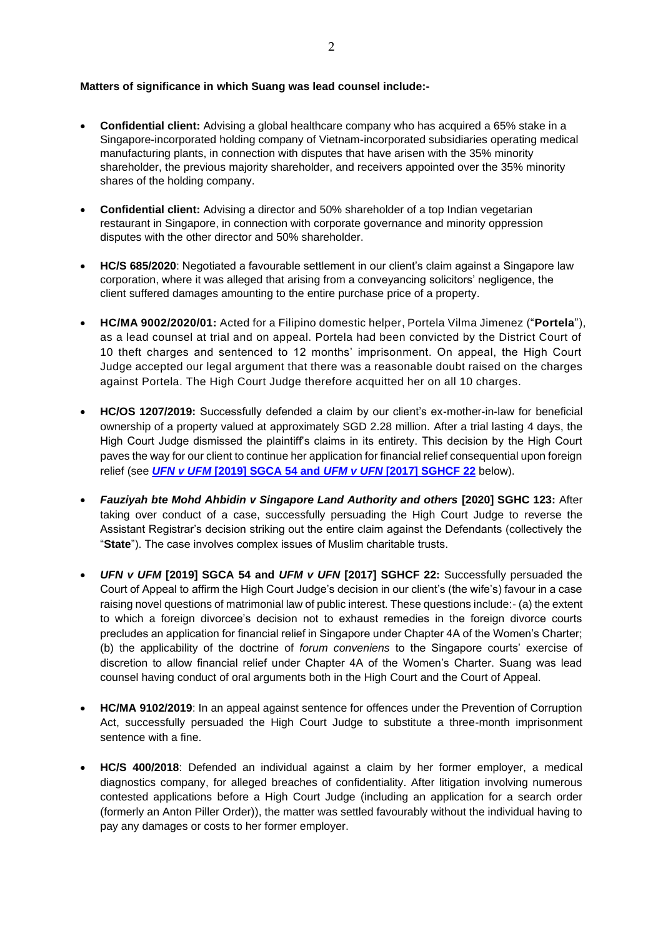#### **Matters of significance in which Suang was lead counsel include:-**

- **Confidential client:** Advising a global healthcare company who has acquired a 65% stake in a Singapore-incorporated holding company of Vietnam-incorporated subsidiaries operating medical manufacturing plants, in connection with disputes that have arisen with the 35% minority shareholder, the previous majority shareholder, and receivers appointed over the 35% minority shares of the holding company.
- **Confidential client:** Advising a director and 50% shareholder of a top Indian vegetarian restaurant in Singapore, in connection with corporate governance and minority oppression disputes with the other director and 50% shareholder.
- **HC/S 685/2020**: Negotiated a favourable settlement in our client's claim against a Singapore law corporation, where it was alleged that arising from a conveyancing solicitors' negligence, the client suffered damages amounting to the entire purchase price of a property.
- **HC/MA 9002/2020/01:** Acted for a Filipino domestic helper, Portela Vilma Jimenez ("**Portela**"), as a lead counsel at trial and on appeal. Portela had been convicted by the District Court of 10 theft charges and sentenced to 12 months' imprisonment. On appeal, the High Court Judge accepted our legal argument that there was a reasonable doubt raised on the charges against Portela. The High Court Judge therefore acquitted her on all 10 charges.
- **HC/OS 1207/2019:** Successfully defended a claim by our client's ex-mother-in-law for beneficial ownership of a property valued at approximately SGD 2.28 million. After a trial lasting 4 days, the High Court Judge dismissed the plaintiff's claims in its entirety. This decision by the High Court paves the way for our client to continue her application for financial relief consequential upon foreign relief (see *UFN v UFM* **[\[2019\] SGCA 54 and](#page-1-0)** *UFM v UFN* **[2017] SGHCF 22** below).
- *Fauziyah bte Mohd Ahbidin v Singapore Land Authority and others* **[2020] SGHC 123:** After taking over conduct of a case, successfully persuading the High Court Judge to reverse the Assistant Registrar's decision striking out the entire claim against the Defendants (collectively the "**State**"). The case involves complex issues of Muslim charitable trusts.
- <span id="page-1-0"></span>• *UFN v UFM* **[2019] SGCA 54 and** *UFM v UFN* **[2017] SGHCF 22:** Successfully persuaded the Court of Appeal to affirm the High Court Judge's decision in our client's (the wife's) favour in a case raising novel questions of matrimonial law of public interest. These questions include:- (a) the extent to which a foreign divorcee's decision not to exhaust remedies in the foreign divorce courts precludes an application for financial relief in Singapore under Chapter 4A of the Women's Charter; (b) the applicability of the doctrine of *forum conveniens* to the Singapore courts' exercise of discretion to allow financial relief under Chapter 4A of the Women's Charter. Suang was lead counsel having conduct of oral arguments both in the High Court and the Court of Appeal.
- **HC/MA 9102/2019**: In an appeal against sentence for offences under the Prevention of Corruption Act, successfully persuaded the High Court Judge to substitute a three-month imprisonment sentence with a fine.
- **HC/S 400/2018**: Defended an individual against a claim by her former employer, a medical diagnostics company, for alleged breaches of confidentiality. After litigation involving numerous contested applications before a High Court Judge (including an application for a search order (formerly an Anton Piller Order)), the matter was settled favourably without the individual having to pay any damages or costs to her former employer.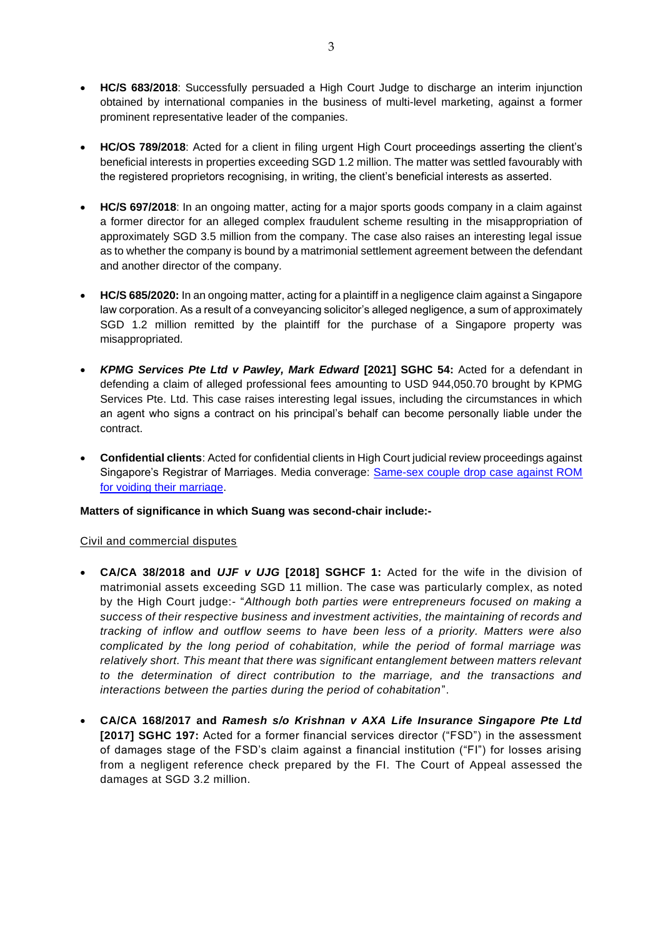- **HC/S 683/2018**: Successfully persuaded a High Court Judge to discharge an interim injunction obtained by international companies in the business of multi-level marketing, against a former prominent representative leader of the companies.
- **HC/OS 789/2018**: Acted for a client in filing urgent High Court proceedings asserting the client's beneficial interests in properties exceeding SGD 1.2 million. The matter was settled favourably with the registered proprietors recognising, in writing, the client's beneficial interests as asserted.
- **HC/S 697/2018**: In an ongoing matter, acting for a major sports goods company in a claim against a former director for an alleged complex fraudulent scheme resulting in the misappropriation of approximately SGD 3.5 million from the company. The case also raises an interesting legal issue as to whether the company is bound by a matrimonial settlement agreement between the defendant and another director of the company.
- **HC/S 685/2020:** In an ongoing matter, acting for a plaintiff in a negligence claim against a Singapore law corporation. As a result of a conveyancing solicitor's alleged negligence, a sum of approximately SGD 1.2 million remitted by the plaintiff for the purchase of a Singapore property was misappropriated.
- *KPMG Services Pte Ltd v Pawley, Mark Edward* **[2021] SGHC 54:** Acted for a defendant in defending a claim of alleged professional fees amounting to USD 944,050.70 brought by KPMG Services Pte. Ltd. This case raises interesting legal issues, including the circumstances in which an agent who signs a contract on his principal's behalf can become personally liable under the contract.
- **Confidential clients**: Acted for confidential clients in High Court judicial review proceedings against Singapore's Registrar of Marriages. Media converage: [Same-sex couple drop case against ROM](https://www.straitstimes.com/singapore/courts-crime/same-sex-couple-drop-case-against-rom)  [for voiding their marriage.](https://www.straitstimes.com/singapore/courts-crime/same-sex-couple-drop-case-against-rom)

## **Matters of significance in which Suang was second-chair include:-**

## Civil and commercial disputes

- **CA/CA 38/2018 and** *UJF v UJG* **[2018] SGHCF 1:** Acted for the wife in the division of matrimonial assets exceeding SGD 11 million. The case was particularly complex, as noted by the High Court judge:- "*Although both parties were entrepreneurs focused on making a success of their respective business and investment activities, the maintaining of records and tracking of inflow and outflow seems to have been less of a priority. Matters were also complicated by the long period of cohabitation, while the period of formal marriage was relatively short. This meant that there was significant entanglement between matters relevant to the determination of direct contribution to the marriage, and the transactions and interactions between the parties during the period of cohabitation*".
- **CA/CA 168/2017 and** *Ramesh s/o Krishnan v AXA Life Insurance Singapore Pte Ltd* **[2017] SGHC 197:** Acted for a former financial services director ("FSD") in the assessment of damages stage of the FSD's claim against a financial institution ("FI") for losses arising from a negligent reference check prepared by the FI. The Court of Appeal assessed the damages at SGD 3.2 million.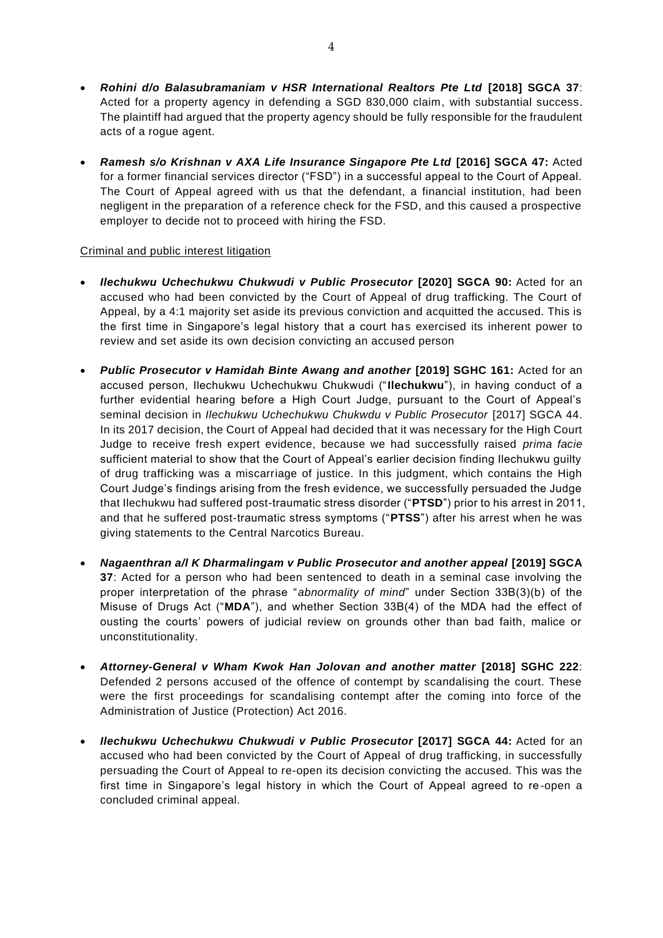- *Rohini d/o Balasubramaniam v HSR International Realtors Pte Ltd* **[2018] SGCA 37**: Acted for a property agency in defending a SGD 830,000 claim, with substantial success. The plaintiff had argued that the property agency should be fully responsible for the fraudulent acts of a rogue agent.
- *Ramesh s/o Krishnan v AXA Life Insurance Singapore Pte Ltd* **[2016] SGCA 47:** Acted for a former financial services director ("FSD") in a successful appeal to the Court of Appeal. The Court of Appeal agreed with us that the defendant, a financial institution, had been negligent in the preparation of a reference check for the FSD, and this caused a prospective employer to decide not to proceed with hiring the FSD.

## Criminal and public interest litigation

- *Ilechukwu Uchechukwu Chukwudi v Public Prosecutor* **[2020] SGCA 90:** Acted for an accused who had been convicted by the Court of Appeal of drug trafficking. The Court of Appeal, by a 4:1 majority set aside its previous conviction and acquitted the accused. This is the first time in Singapore's legal history that a court has exercised its inherent power to review and set aside its own decision convicting an accused person
- *Public Prosecutor v Hamidah Binte Awang and another* **[2019] SGHC 161:** Acted for an accused person, Ilechukwu Uchechukwu Chukwudi ("**Ilechukwu**"), in having conduct of a further evidential hearing before a High Court Judge, pursuant to the Court of Appeal's seminal decision in *Ilechukwu Uchechukwu Chukwdu v Public Prosecutor* [2017] SGCA 44. In its 2017 decision, the Court of Appeal had decided that it was necessary for the High Court Judge to receive fresh expert evidence, because we had successfully raised *prima facie*  sufficient material to show that the Court of Appeal's earlier decision finding Ilechukwu guilty of drug trafficking was a miscarriage of justice. In this judgment, which contains the High Court Judge's findings arising from the fresh evidence, we successfully persuaded the Judge that Ilechukwu had suffered post-traumatic stress disorder ("**PTSD**") prior to his arrest in 2011, and that he suffered post-traumatic stress symptoms ("**PTSS**") after his arrest when he was giving statements to the Central Narcotics Bureau.
- *Nagaenthran a/l K Dharmalingam v Public Prosecutor and another appeal* **[2019] SGCA 37**: Acted for a person who had been sentenced to death in a seminal case involving the proper interpretation of the phrase "*abnormality of mind*" under Section 33B(3)(b) of the Misuse of Drugs Act ("**MDA**"), and whether Section 33B(4) of the MDA had the effect of ousting the courts' powers of judicial review on grounds other than bad faith, malice or unconstitutionality.
- Attorney-General v Wham Kwok Han Jolovan and another matter [2018] SGHC 222: Defended 2 persons accused of the offence of contempt by scandalising the court. These were the first proceedings for scandalising contempt after the coming into force of the Administration of Justice (Protection) Act 2016.
- *Ilechukwu Uchechukwu Chukwudi v Public Prosecutor* **[2017] SGCA 44:** Acted for an accused who had been convicted by the Court of Appeal of drug trafficking, in successfully persuading the Court of Appeal to re-open its decision convicting the accused. This was the first time in Singapore's legal history in which the Court of Appeal agreed to re-open a concluded criminal appeal.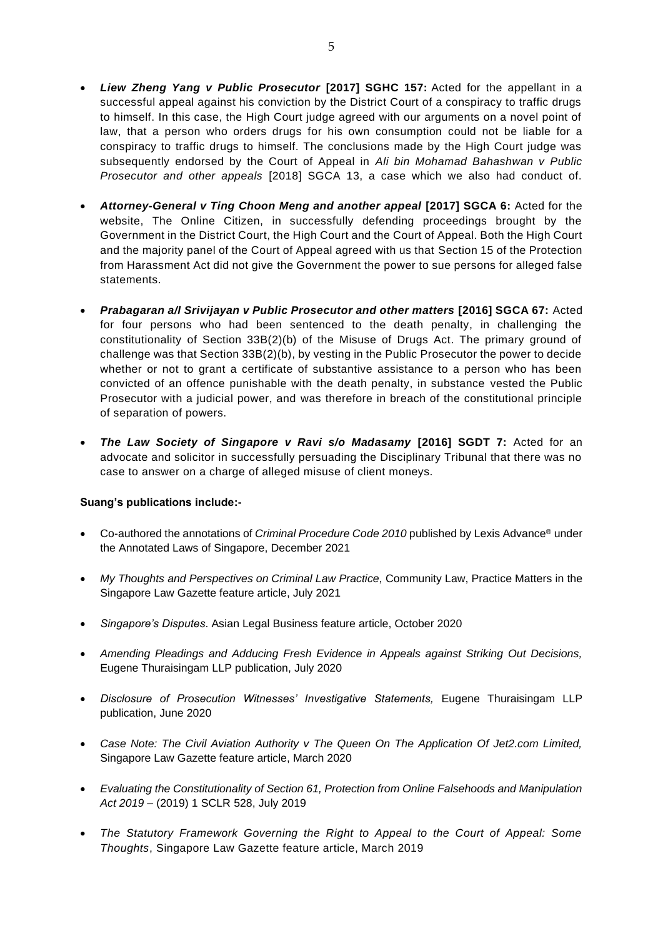- *Liew Zheng Yang v Public Prosecutor* **[2017] SGHC 157:** Acted for the appellant in a successful appeal against his conviction by the District Court of a conspiracy to traffic drugs to himself. In this case, the High Court judge agreed with our arguments on a novel point of law, that a person who orders drugs for his own consumption could not be liable for a conspiracy to traffic drugs to himself. The conclusions made by the High Court judge was subsequently endorsed by the Court of Appeal in *Ali bin Mohamad Bahashwan v Public Prosecutor and other appeals* [2018] SGCA 13, a case which we also had conduct of.
- *Attorney-General v Ting Choon Meng and another appeal* **[2017] SGCA 6:** Acted for the website, The Online Citizen, in successfully defending proceedings brought by the Government in the District Court, the High Court and the Court of Appeal. Both the High Court and the majority panel of the Court of Appeal agreed with us that Section 15 of the Protection from Harassment Act did not give the Government the power to sue persons for alleged false statements.
- *Prabagaran a/l Srivijayan v Public Prosecutor and other matters* **[2016] SGCA 67:** Acted for four persons who had been sentenced to the death penalty, in challenging the constitutionality of Section 33B(2)(b) of the Misuse of Drugs Act. The primary ground of challenge was that Section 33B(2)(b), by vesting in the Public Prosecutor the power to decide whether or not to grant a certificate of substantive assistance to a person who has been convicted of an offence punishable with the death penalty, in substance vested the Public Prosecutor with a judicial power, and was therefore in breach of the constitutional principle of separation of powers.
- *The Law Society of Singapore v Ravi s/o Madasamy* **[2016] SGDT 7:** Acted for an advocate and solicitor in successfully persuading the Disciplinary Tribunal that there was no case to answer on a charge of alleged misuse of client moneys.

## **Suang's publications include:-**

- Co-authored the annotations of *Criminal Procedure Code 2010* published by Lexis Advance® under the Annotated Laws of Singapore, December 2021
- *My Thoughts and Perspectives on Criminal Law Practice,* Community Law, Practice Matters in the Singapore Law Gazette feature article, July 2021
- *Singapore's Disputes*. Asian Legal Business feature article, October 2020
- *Amending Pleadings and Adducing Fresh Evidence in Appeals against Striking Out Decisions,*  Eugene Thuraisingam LLP publication, July 2020
- *Disclosure of Prosecution Witnesses' Investigative Statements,* Eugene Thuraisingam LLP publication, June 2020
- *Case Note: The Civil Aviation Authority v The Queen On The Application Of Jet2.com Limited,*  Singapore Law Gazette feature article, March 2020
- *Evaluating the Constitutionality of Section 61, Protection from Online Falsehoods and Manipulation Act 2019 –* (2019) 1 SCLR 528, July 2019
- *The Statutory Framework Governing the Right to Appeal to the Court of Appeal: Some Thoughts*, Singapore Law Gazette feature article, March 2019